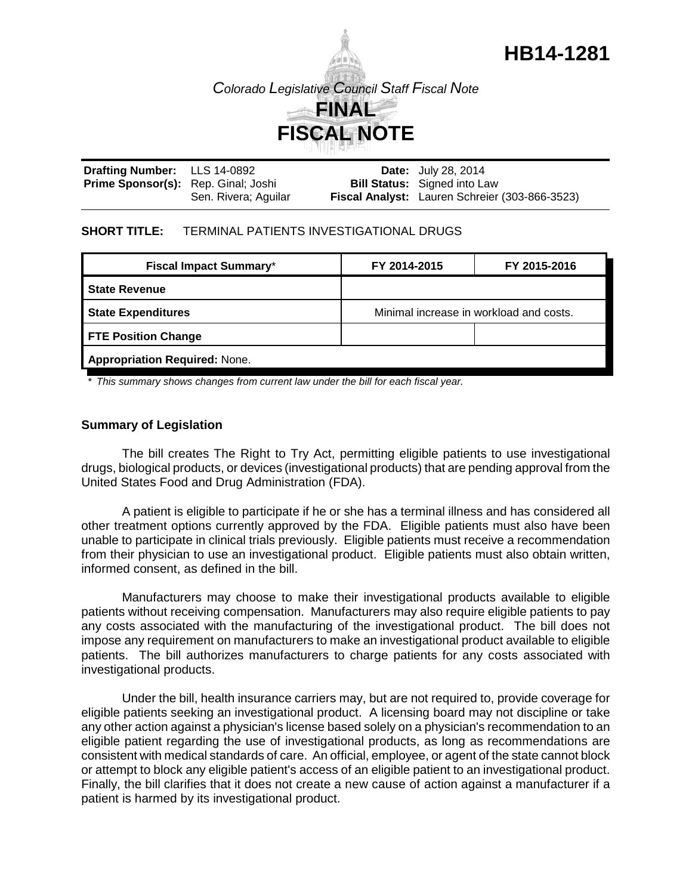

| Drafting Number: LLS 14-0892               |                      | <b>Date:</b> July 28, 2014                     |
|--------------------------------------------|----------------------|------------------------------------------------|
| <b>Prime Sponsor(s):</b> Rep. Ginal; Joshi |                      | <b>Bill Status:</b> Signed into Law            |
|                                            | Sen. Rivera; Aguilar | Fiscal Analyst: Lauren Schreier (303-866-3523) |

#### **SHORT TITLE:** TERMINAL PATIENTS INVESTIGATIONAL DRUGS

| <b>Fiscal Impact Summary*</b>        | FY 2014-2015                            | FY 2015-2016 |  |  |
|--------------------------------------|-----------------------------------------|--------------|--|--|
| <b>State Revenue</b>                 |                                         |              |  |  |
| <b>State Expenditures</b>            | Minimal increase in workload and costs. |              |  |  |
| <b>FTE Position Change</b>           |                                         |              |  |  |
| <b>Appropriation Required: None.</b> |                                         |              |  |  |

*\* This summary shows changes from current law under the bill for each fiscal year.* 

# **Summary of Legislation**

The bill creates The Right to Try Act, permitting eligible patients to use investigational drugs, biological products, or devices (investigational products) that are pending approval from the United States Food and Drug Administration (FDA).

A patient is eligible to participate if he or she has a terminal illness and has considered all other treatment options currently approved by the FDA. Eligible patients must also have been unable to participate in clinical trials previously. Eligible patients must receive a recommendation from their physician to use an investigational product. Eligible patients must also obtain written, informed consent, as defined in the bill.

Manufacturers may choose to make their investigational products available to eligible patients without receiving compensation. Manufacturers may also require eligible patients to pay any costs associated with the manufacturing of the investigational product. The bill does not impose any requirement on manufacturers to make an investigational product available to eligible patients. The bill authorizes manufacturers to charge patients for any costs associated with investigational products.

Under the bill, health insurance carriers may, but are not required to, provide coverage for eligible patients seeking an investigational product. A licensing board may not discipline or take any other action against a physician's license based solely on a physician's recommendation to an eligible patient regarding the use of investigational products, as long as recommendations are consistent with medical standards of care. An official, employee, or agent of the state cannot block or attempt to block any eligible patient's access of an eligible patient to an investigational product. Finally, the bill clarifies that it does not create a new cause of action against a manufacturer if a patient is harmed by its investigational product.